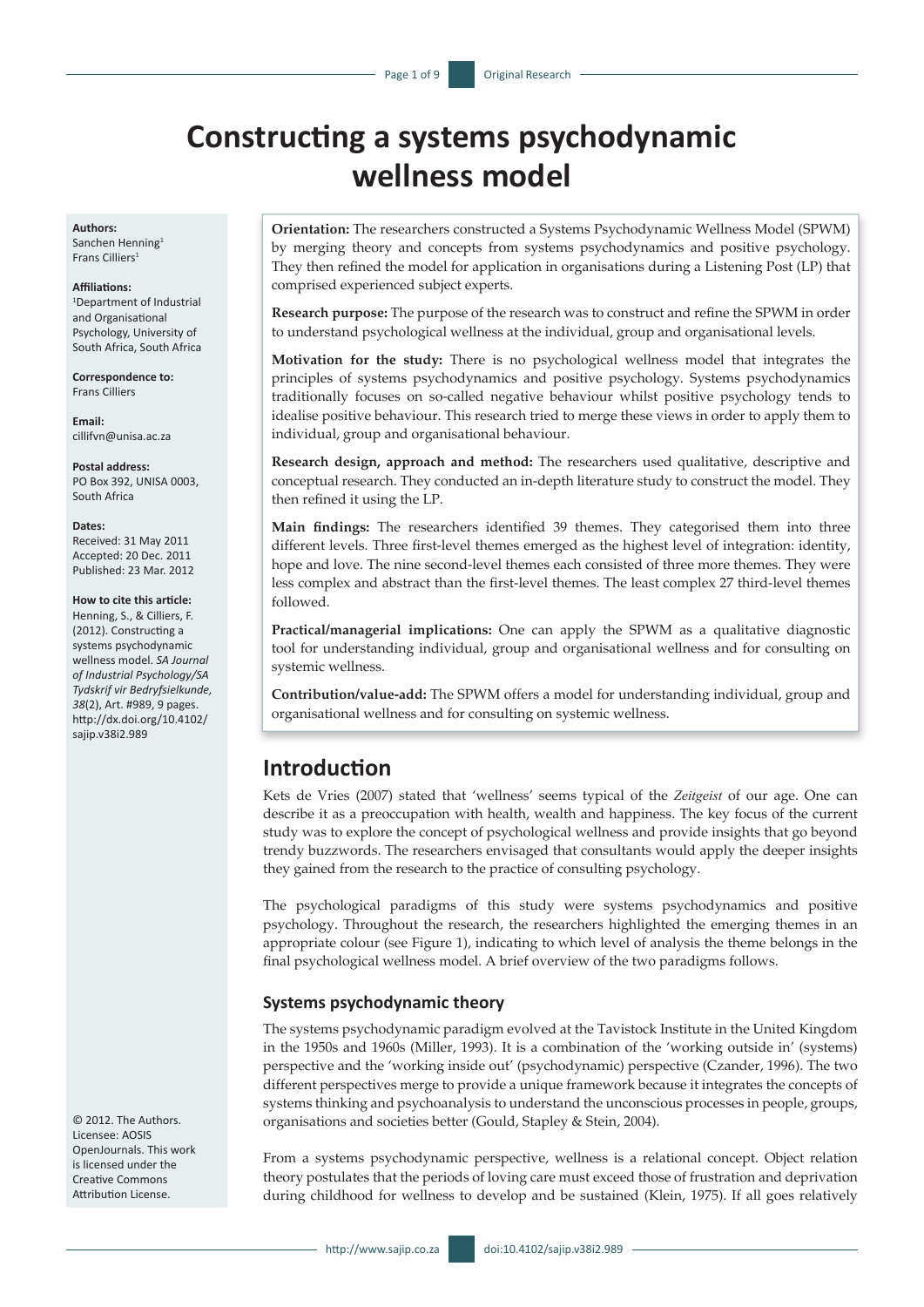# **Constructing a systems psychodynamic wellness model**

## **Authors:**

Sanchen Henning1 Frans Cilliers<sup>1</sup>

#### **Affiliations:**

1 Department of Industrial and Organisational Psychology, University of South Africa, South Africa

**Correspondence to:** Frans Cilliers

**Email:** [cillifvn@unisa.ac.za](mailto:cillifvn@unisa.ac.za)

**Postal address:** PO Box 392, UNISA 0003, South Africa

#### **Dates:**

Received: 31 May 2011 Accepted: 20 Dec. 2011 Published: 23 Mar. 2012

# **How to cite this article:**

Henning, S., & Cilliers, F. (2012). Constructing a systems psychodynamic wellness model. *SA Journal of Industrial Psychology/SA Tydskrif vir Bedryfsielkunde, 38*(2), Art. #989, 9 pages. [http://dx.doi.org/10.4102/](http://dx.doi.org/10.4102/sajip.v38i2.989) [sajip.v38i2.989](http://dx.doi.org/10.4102/sajip.v38i2.989)

© 2012. The Authors. Licensee: AOSIS OpenJournals. This work is licensed under the Creative Commons Attribution License.

**Orientation:** The researchers constructed a Systems Psychodynamic Wellness Model (SPWM) by merging theory and concepts from systems psychodynamics and positive psychology. They then refined the model for application in organisations during a Listening Post (LP) that comprised experienced subject experts.

**Research purpose:** The purpose of the research was to construct and refine the SPWM in order to understand psychological wellness at the individual, group and organisational levels.

**Motivation for the study:** There is no psychological wellness model that integrates the principles of systems psychodynamics and positive psychology. Systems psychodynamics traditionally focuses on so-called negative behaviour whilst positive psychology tends to idealise positive behaviour. This research tried to merge these views in order to apply them to individual, group and organisational behaviour.

**Research design, approach and method:** The researchers used qualitative, descriptive and conceptual research. They conducted an in-depth literature study to construct the model. They then refined it using the LP.

**Main findings:** The researchers identified 39 themes. They categorised them into three different levels. Three first-level themes emerged as the highest level of integration: identity, hope and love. The nine second-level themes each consisted of three more themes. They were less complex and abstract than the first-level themes. The least complex 27 third-level themes followed.

**Practical/managerial implications:** One can apply the SPWM as a qualitative diagnostic tool for understanding individual, group and organisational wellness and for consulting on systemic wellness.

**Contribution/value-add:** The SPWM offers a model for understanding individual, group and organisational wellness and for consulting on systemic wellness.

# **Introduction**

Kets de Vries (2007) stated that 'wellness' seems typical of the *Zeitgeist* of our age. One can describe it as a preoccupation with health, wealth and happiness. The key focus of the current study was to explore the concept of psychological wellness and provide insights that go beyond trendy buzzwords. The researchers envisaged that consultants would apply the deeper insights they gained from the research to the practice of consulting psychology.

The psychological paradigms of this study were systems psychodynamics and positive psychology. Throughout the research, the researchers highlighted the emerging themes in an appropriate colour (see Figure 1), indicating to which level of analysis the theme belongs in the final psychological wellness model. A brief overview of the two paradigms follows.

# **Systems psychodynamic theory**

The systems psychodynamic paradigm evolved at the Tavistock Institute in the United Kingdom in the 1950s and 1960s (Miller, 1993). It is a combination of the 'working outside in' (systems) perspective and the 'working inside out' (psychodynamic) perspective (Czander, 1996). The two different perspectives merge to provide a unique framework because it integrates the concepts of systems thinking and psychoanalysis to understand the unconscious processes in people, groups, organisations and societies better (Gould, Stapley & Stein, 2004).

From a systems psychodynamic perspective, wellness is a relational concept. Object relation theory postulates that the periods of loving care must exceed those of frustration and deprivation during childhood for wellness to develop and be sustained (Klein, 1975). If all goes relatively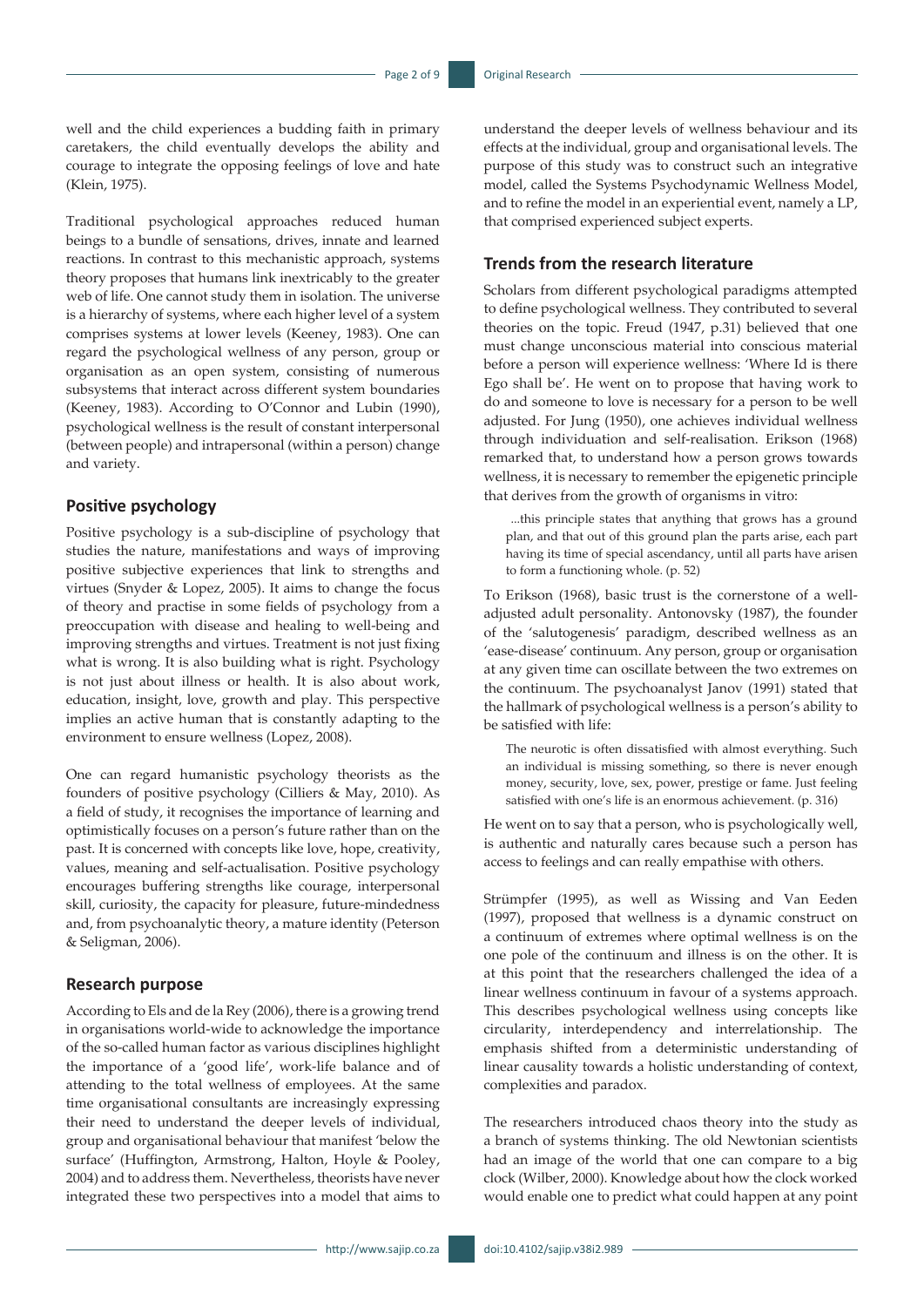well and the child experiences a budding faith in primary caretakers, the child eventually develops the ability and courage to integrate the opposing feelings of love and hate (Klein, 1975).

Traditional psychological approaches reduced human beings to a bundle of sensations, drives, innate and learned reactions. In contrast to this mechanistic approach, systems theory proposes that humans link inextricably to the greater web of life. One cannot study them in isolation. The universe is a hierarchy of systems, where each higher level of a system comprises systems at lower levels (Keeney, 1983). One can regard the psychological wellness of any person, group or organisation as an open system, consisting of numerous subsystems that interact across different system boundaries (Keeney, 1983). According to O'Connor and Lubin (1990), psychological wellness is the result of constant interpersonal (between people) and intrapersonal (within a person) change and variety.

# **Positive psychology**

Positive psychology is a sub-discipline of psychology that studies the nature, manifestations and ways of improving positive subjective experiences that link to strengths and virtues (Snyder & Lopez, 2005). It aims to change the focus of theory and practise in some fields of psychology from a preoccupation with disease and healing to well-being and improving strengths and virtues. Treatment is not just fixing what is wrong. It is also building what is right. Psychology is not just about illness or health. It is also about work, education, insight, love, growth and play. This perspective implies an active human that is constantly adapting to the environment to ensure wellness (Lopez, 2008).

One can regard humanistic psychology theorists as the founders of positive psychology (Cilliers & May, 2010). As a field of study, it recognises the importance of learning and optimistically focuses on a person's future rather than on the past. It is concerned with concepts like love, hope, creativity, values, meaning and self-actualisation. Positive psychology encourages buffering strengths like courage, interpersonal skill, curiosity, the capacity for pleasure, future-mindedness and, from psychoanalytic theory, a mature identity (Peterson & Seligman, 2006).

### **Research purpose**

According to Els and de la Rey (2006), there is a growing trend in organisations world-wide to acknowledge the importance of the so-called human factor as various disciplines highlight the importance of a 'good life', work-life balance and of attending to the total wellness of employees. At the same time organisational consultants are increasingly expressing their need to understand the deeper levels of individual, group and organisational behaviour that manifest 'below the surface' (Huffington, Armstrong, Halton, Hoyle & Pooley, 2004) and to address them. Nevertheless, theorists have never integrated these two perspectives into a model that aims to

understand the deeper levels of wellness behaviour and its effects at the individual, group and organisational levels. The purpose of this study was to construct such an integrative model, called the Systems Psychodynamic Wellness Model, and to refine the model in an experiential event, namely a LP, that comprised experienced subject experts.

# **Trends from the research literature**

Scholars from different psychological paradigms attempted to define psychological wellness. They contributed to several theories on the topic. Freud (1947, p.31) believed that one must change unconscious material into conscious material before a person will experience wellness: 'Where Id is there Ego shall be'. He went on to propose that having work to do and someone to love is necessary for a person to be well adjusted. For Jung (1950), one achieves individual wellness through individuation and self-realisation. Erikson (1968) remarked that, to understand how a person grows towards wellness, it is necessary to remember the epigenetic principle that derives from the growth of organisms in vitro:

 ...this principle states that anything that grows has a ground plan, and that out of this ground plan the parts arise, each part having its time of special ascendancy, until all parts have arisen to form a functioning whole. (p. 52)

To Erikson (1968), basic trust is the cornerstone of a welladjusted adult personality. Antonovsky (1987), the founder of the 'salutogenesis' paradigm, described wellness as an 'ease-disease' continuum. Any person, group or organisation at any given time can oscillate between the two extremes on the continuum. The psychoanalyst Janov (1991) stated that the hallmark of psychological wellness is a person's ability to be satisfied with life:

The neurotic is often dissatisfied with almost everything. Such an individual is missing something, so there is never enough money, security, love, sex, power, prestige or fame. Just feeling satisfied with one's life is an enormous achievement. (p. 316)

He went on to say that a person, who is psychologically well, is authentic and naturally cares because such a person has access to feelings and can really empathise with others.

Strümpfer (1995), as well as Wissing and Van Eeden (1997), proposed that wellness is a dynamic construct on a continuum of extremes where optimal wellness is on the one pole of the continuum and illness is on the other. It is at this point that the researchers challenged the idea of a linear wellness continuum in favour of a systems approach. This describes psychological wellness using concepts like circularity, interdependency and interrelationship. The emphasis shifted from a deterministic understanding of linear causality towards a holistic understanding of context, complexities and paradox.

The researchers introduced chaos theory into the study as a branch of systems thinking. The old Newtonian scientists had an image of the world that one can compare to a big clock (Wilber, 2000). Knowledge about how the clock worked would enable one to predict what could happen at any point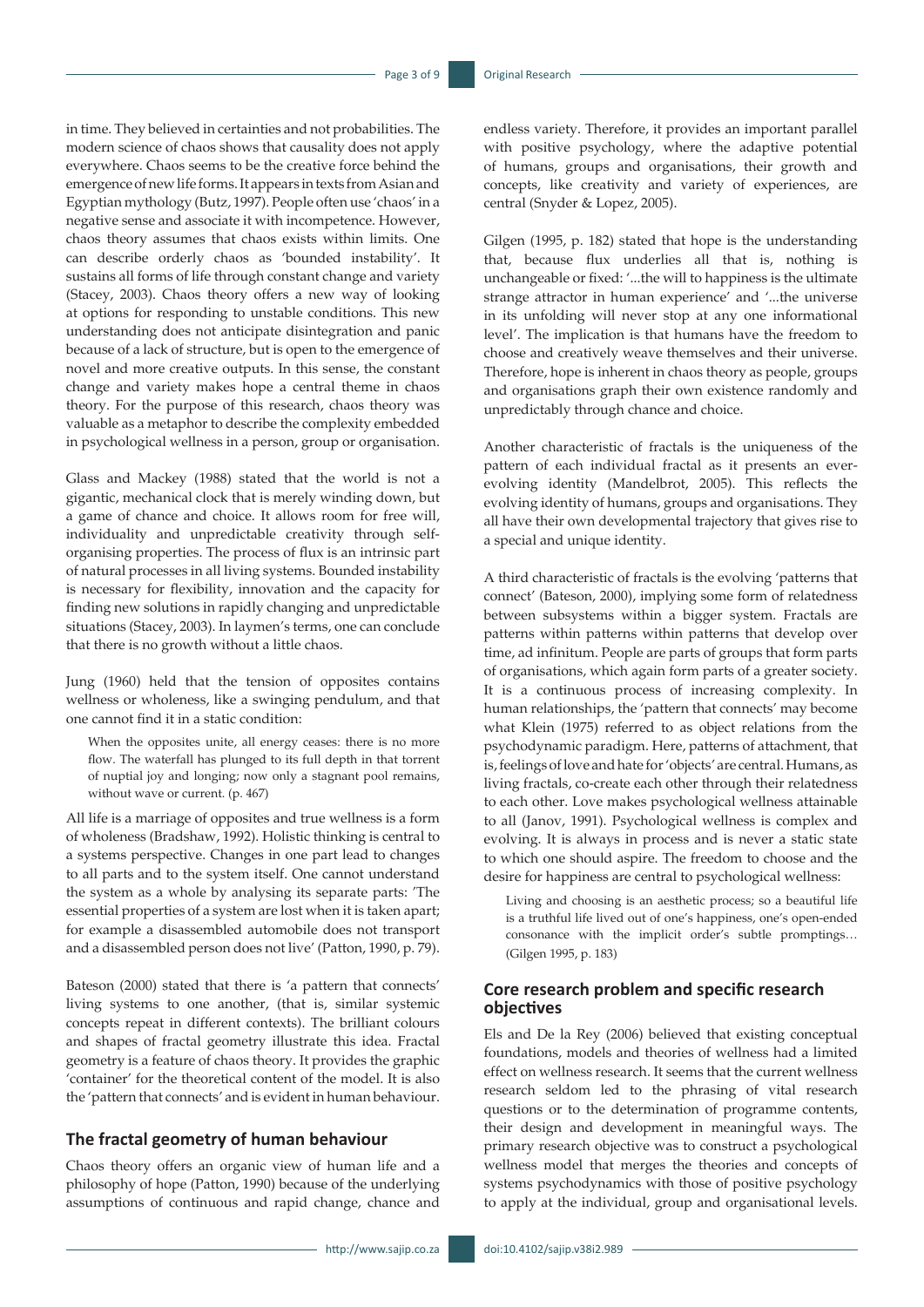in time. They believed in certainties and not probabilities. The modern science of chaos shows that causality does not apply everywhere. Chaos seems to be the creative force behind the emergence of new life forms. It appears in texts from Asian and Egyptian mythology (Butz, 1997). People often use 'chaos' in a negative sense and associate it with incompetence. However, chaos theory assumes that chaos exists within limits. One can describe orderly chaos as 'bounded instability'. It sustains all forms of life through constant change and variety (Stacey, 2003). Chaos theory offers a new way of looking at options for responding to unstable conditions. This new understanding does not anticipate disintegration and panic because of a lack of structure, but is open to the emergence of novel and more creative outputs. In this sense, the constant change and variety makes hope a central theme in chaos theory. For the purpose of this research, chaos theory was valuable as a metaphor to describe the complexity embedded in psychological wellness in a person, group or organisation.

Glass and Mackey (1988) stated that the world is not a gigantic, mechanical clock that is merely winding down, but a game of chance and choice. It allows room for free will, individuality and unpredictable creativity through selforganising properties. The process of flux is an intrinsic part of natural processes in all living systems. Bounded instability is necessary for flexibility, innovation and the capacity for finding new solutions in rapidly changing and unpredictable situations (Stacey, 2003). In laymen's terms, one can conclude that there is no growth without a little chaos.

Jung (1960) held that the tension of opposites contains wellness or wholeness, like a swinging pendulum, and that one cannot find it in a static condition:

When the opposites unite, all energy ceases: there is no more flow. The waterfall has plunged to its full depth in that torrent of nuptial joy and longing; now only a stagnant pool remains, without wave or current. (p. 467)

All life is a marriage of opposites and true wellness is a form of wholeness (Bradshaw, 1992). Holistic thinking is central to a systems perspective. Changes in one part lead to changes to all parts and to the system itself. One cannot understand the system as a whole by analysing its separate parts: 'The essential properties of a system are lost when it is taken apart; for example a disassembled automobile does not transport and a disassembled person does not live' (Patton, 1990, p. 79).

Bateson (2000) stated that there is 'a pattern that connects' living systems to one another, (that is, similar systemic concepts repeat in different contexts). The brilliant colours and shapes of fractal geometry illustrate this idea. Fractal geometry is a feature of chaos theory. It provides the graphic 'container' for the theoretical content of the model. It is also the 'pattern that connects' and is evident in human behaviour.

### **The fractal geometry of human behaviour**

Chaos theory offers an organic view of human life and a philosophy of hope (Patton, 1990) because of the underlying assumptions of continuous and rapid change, chance and

endless variety. Therefore, it provides an important parallel with positive psychology, where the adaptive potential of humans, groups and organisations, their growth and concepts, like creativity and variety of experiences, are central (Snyder & Lopez, 2005).

Gilgen (1995, p. 182) stated that hope is the understanding that, because flux underlies all that is, nothing is unchangeable or fixed: '...the will to happiness is the ultimate strange attractor in human experience' and '...the universe in its unfolding will never stop at any one informational level'. The implication is that humans have the freedom to choose and creatively weave themselves and their universe. Therefore, hope is inherent in chaos theory as people, groups and organisations graph their own existence randomly and unpredictably through chance and choice.

Another characteristic of fractals is the uniqueness of the pattern of each individual fractal as it presents an everevolving identity (Mandelbrot, 2005). This reflects the evolving identity of humans, groups and organisations. They all have their own developmental trajectory that gives rise to a special and unique identity.

A third characteristic of fractals is the evolving 'patterns that connect' (Bateson, 2000), implying some form of relatedness between subsystems within a bigger system. Fractals are patterns within patterns within patterns that develop over time, ad infinitum. People are parts of groups that form parts of organisations, which again form parts of a greater society. It is a continuous process of increasing complexity. In human relationships, the 'pattern that connects' may become what Klein (1975) referred to as object relations from the psychodynamic paradigm. Here, patterns of attachment, that is, feelings of love and hate for 'objects' are central. Humans, as living fractals, co-create each other through their relatedness to each other. Love makes psychological wellness attainable to all (Janov, 1991). Psychological wellness is complex and evolving. It is always in process and is never a static state to which one should aspire. The freedom to choose and the desire for happiness are central to psychological wellness:

Living and choosing is an aesthetic process; so a beautiful life is a truthful life lived out of one's happiness, one's open-ended consonance with the implicit order's subtle promptings… (Gilgen 1995, p. 183)

# **Core research problem and specific research objectives**

Els and De la Rey (2006) believed that existing conceptual foundations, models and theories of wellness had a limited effect on wellness research. It seems that the current wellness research seldom led to the phrasing of vital research questions or to the determination of programme contents, their design and development in meaningful ways. The primary research objective was to construct a psychological wellness model that merges the theories and concepts of systems psychodynamics with those of positive psychology to apply at the individual, group and organisational levels.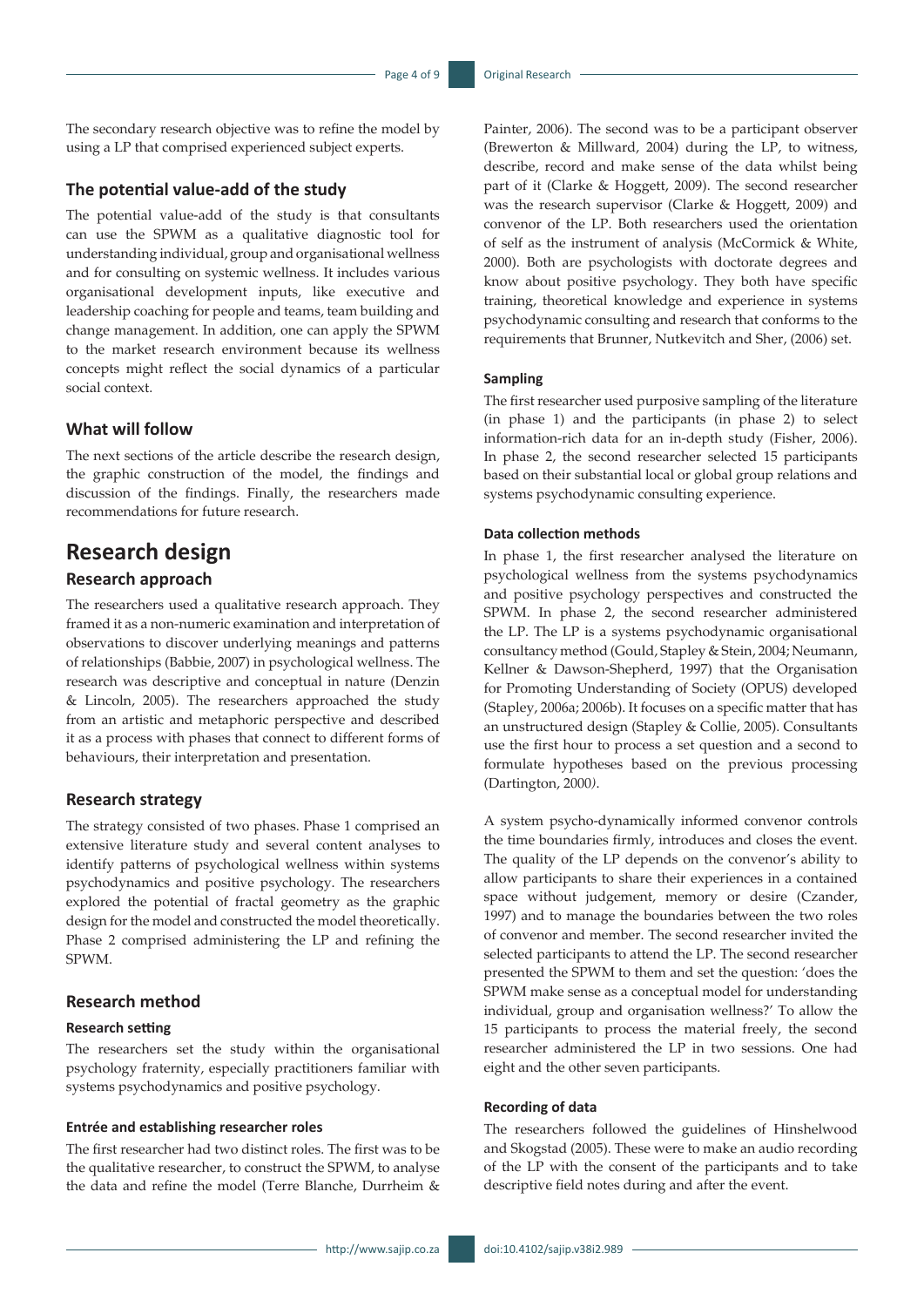The secondary research objective was to refine the model by using a LP that comprised experienced subject experts.

# **The potential value-add of the study**

The potential value-add of the study is that consultants can use the SPWM as a qualitative diagnostic tool for understanding individual, group and organisational wellness and for consulting on systemic wellness. It includes various organisational development inputs, like executive and leadership coaching for people and teams, team building and change management. In addition, one can apply the SPWM to the market research environment because its wellness concepts might reflect the social dynamics of a particular social context.

### **What will follow**

The next sections of the article describe the research design, the graphic construction of the model, the findings and discussion of the findings. Finally, the researchers made recommendations for future research.

# **Research design Research approach**

The researchers used a qualitative research approach. They framed it as a non-numeric examination and interpretation of observations to discover underlying meanings and patterns of relationships (Babbie, 2007) in psychological wellness. The research was descriptive and conceptual in nature (Denzin & Lincoln, 2005). The researchers approached the study from an artistic and metaphoric perspective and described it as a process with phases that connect to different forms of behaviours, their interpretation and presentation.

# **Research strategy**

The strategy consisted of two phases. Phase 1 comprised an extensive literature study and several content analyses to identify patterns of psychological wellness within systems psychodynamics and positive psychology. The researchers explored the potential of fractal geometry as the graphic design for the model and constructed the model theoretically. Phase 2 comprised administering the LP and refining the SPWM.

### **Research method**

#### **Research setting**

The researchers set the study within the organisational psychology fraternity, especially practitioners familiar with systems psychodynamics and positive psychology.

#### **Entrée and establishing researcher roles**

The first researcher had two distinct roles. The first was to be the qualitative researcher, to construct the SPWM, to analyse the data and refine the model (Terre Blanche, Durrheim & Painter, 2006). The second was to be a participant observer (Brewerton & Millward, 2004) during the LP, to witness, describe, record and make sense of the data whilst being part of it (Clarke & Hoggett, 2009). The second researcher was the research supervisor (Clarke & Hoggett, 2009) and convenor of the LP. Both researchers used the orientation of self as the instrument of analysis (McCormick & White, 2000). Both are psychologists with doctorate degrees and know about positive psychology. They both have specific training, theoretical knowledge and experience in systems psychodynamic consulting and research that conforms to the requirements that Brunner, Nutkevitch and Sher, (2006) set.

# **Sampling**

The first researcher used purposive sampling of the literature (in phase 1) and the participants (in phase 2) to select information-rich data for an in-depth study (Fisher, 2006). In phase 2, the second researcher selected 15 participants based on their substantial local or global group relations and systems psychodynamic consulting experience.

#### **Data collection methods**

In phase 1, the first researcher analysed the literature on psychological wellness from the systems psychodynamics and positive psychology perspectives and constructed the SPWM. In phase 2, the second researcher administered the LP. The LP is a systems psychodynamic organisational consultancy method (Gould, Stapley & Stein, 2004; Neumann, Kellner & Dawson-Shepherd, 1997) that the Organisation for Promoting Understanding of Society (OPUS) developed (Stapley, 2006a; 2006b). It focuses on a specific matter that has an unstructured design (Stapley & Collie, 2005). Consultants use the first hour to process a set question and a second to formulate hypotheses based on the previous processing (Dartington, 2000*)*.

A system psycho-dynamically informed convenor controls the time boundaries firmly, introduces and closes the event. The quality of the LP depends on the convenor's ability to allow participants to share their experiences in a contained space without judgement, memory or desire (Czander, 1997) and to manage the boundaries between the two roles of convenor and member. The second researcher invited the selected participants to attend the LP. The second researcher presented the SPWM to them and set the question: 'does the SPWM make sense as a conceptual model for understanding individual, group and organisation wellness?' To allow the 15 participants to process the material freely, the second researcher administered the LP in two sessions. One had eight and the other seven participants.

#### **Recording of data**

The researchers followed the guidelines of Hinshelwood and Skogstad (2005). These were to make an audio recording of the LP with the consent of the participants and to take descriptive field notes during and after the event.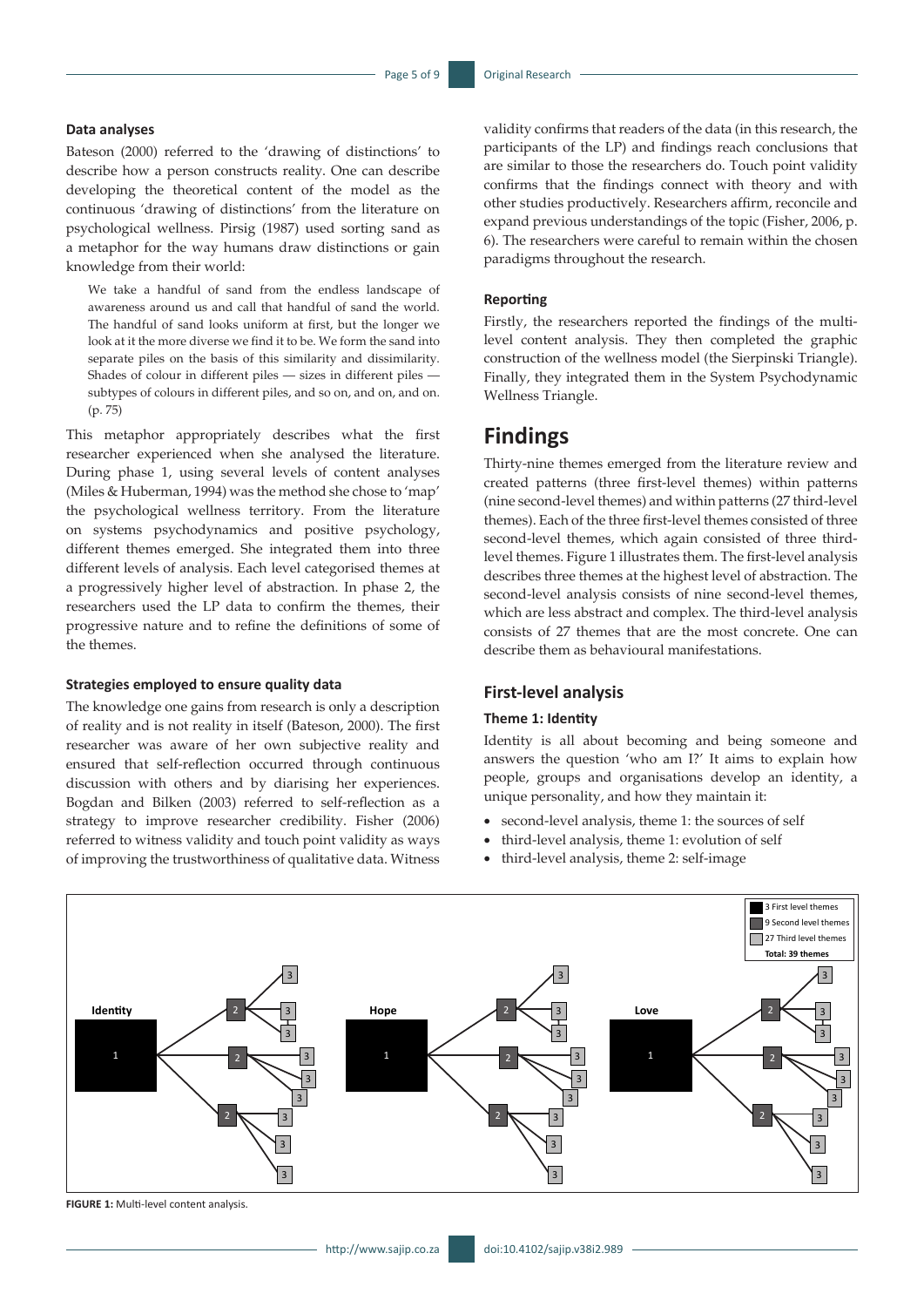#### **Data analyses**

Bateson (2000) referred to the 'drawing of distinctions' to describe how a person constructs reality. One can describe developing the theoretical content of the model as the continuous 'drawing of distinctions' from the literature on psychological wellness. Pirsig (1987) used sorting sand as a metaphor for the way humans draw distinctions or gain knowledge from their world:

We take a handful of sand from the endless landscape of awareness around us and call that handful of sand the world. The handful of sand looks uniform at first, but the longer we look at it the more diverse we find it to be. We form the sand into separate piles on the basis of this similarity and dissimilarity. Shades of colour in different piles — sizes in different piles subtypes of colours in different piles, and so on, and on, and on. (p. 75)

This metaphor appropriately describes what the first researcher experienced when she analysed the literature. During phase 1, using several levels of content analyses (Miles & Huberman, 1994) was the method she chose to 'map' the psychological wellness territory. From the literature on systems psychodynamics and positive psychology, different themes emerged. She integrated them into three different levels of analysis. Each level categorised themes at a progressively higher level of abstraction. In phase 2, the researchers used the LP data to confirm the themes, their progressive nature and to refine the definitions of some of the themes.

#### **Strategies employed to ensure quality data**

The knowledge one gains from research is only a description of reality and is not reality in itself (Bateson, 2000). The first researcher was aware of her own subjective reality and ensured that self-reflection occurred through continuous discussion with others and by diarising her experiences. Bogdan and Bilken (2003) referred to self-reflection as a strategy to improve researcher credibility. Fisher (2006) referred to witness validity and touch point validity as ways of improving the trustworthiness of qualitative data. Witness

validity confirms that readers of the data (in this research, the participants of the LP) and findings reach conclusions that are similar to those the researchers do. Touch point validity confirms that the findings connect with theory and with other studies productively. Researchers affirm, reconcile and expand previous understandings of the topic (Fisher, 2006, p. 6). The researchers were careful to remain within the chosen paradigms throughout the research.

### **Reporting**

Firstly, the researchers reported the findings of the multilevel content analysis. They then completed the graphic construction of the wellness model (the Sierpinski Triangle). Finally, they integrated them in the System Psychodynamic Wellness Triangle.

# **Findings**

Thirty-nine themes emerged from the literature review and created patterns (three first-level themes) within patterns (nine second-level themes) and within patterns (27 third-level themes). Each of the three first-level themes consisted of three second-level themes, which again consisted of three thirdlevel themes. Figure 1 illustrates them. The first-level analysis describes three themes at the highest level of abstraction. The second-level analysis consists of nine second-level themes, which are less abstract and complex. The third-level analysis consists of 27 themes that are the most concrete. One can describe them as behavioural manifestations.

#### **First-level analysis**

#### **Theme 1: Identity**

Identity is all about becoming and being someone and answers the question 'who am I?' It aims to explain how people, groups and organisations develop an identity, a unique personality, and how they maintain it:

- • second-level analysis, theme 1: the sources of self
- third-level analysis, theme 1: evolution of self
- • third-level analysis, theme 2: self-image



**FIGURE 1:** Multi-level content analysis.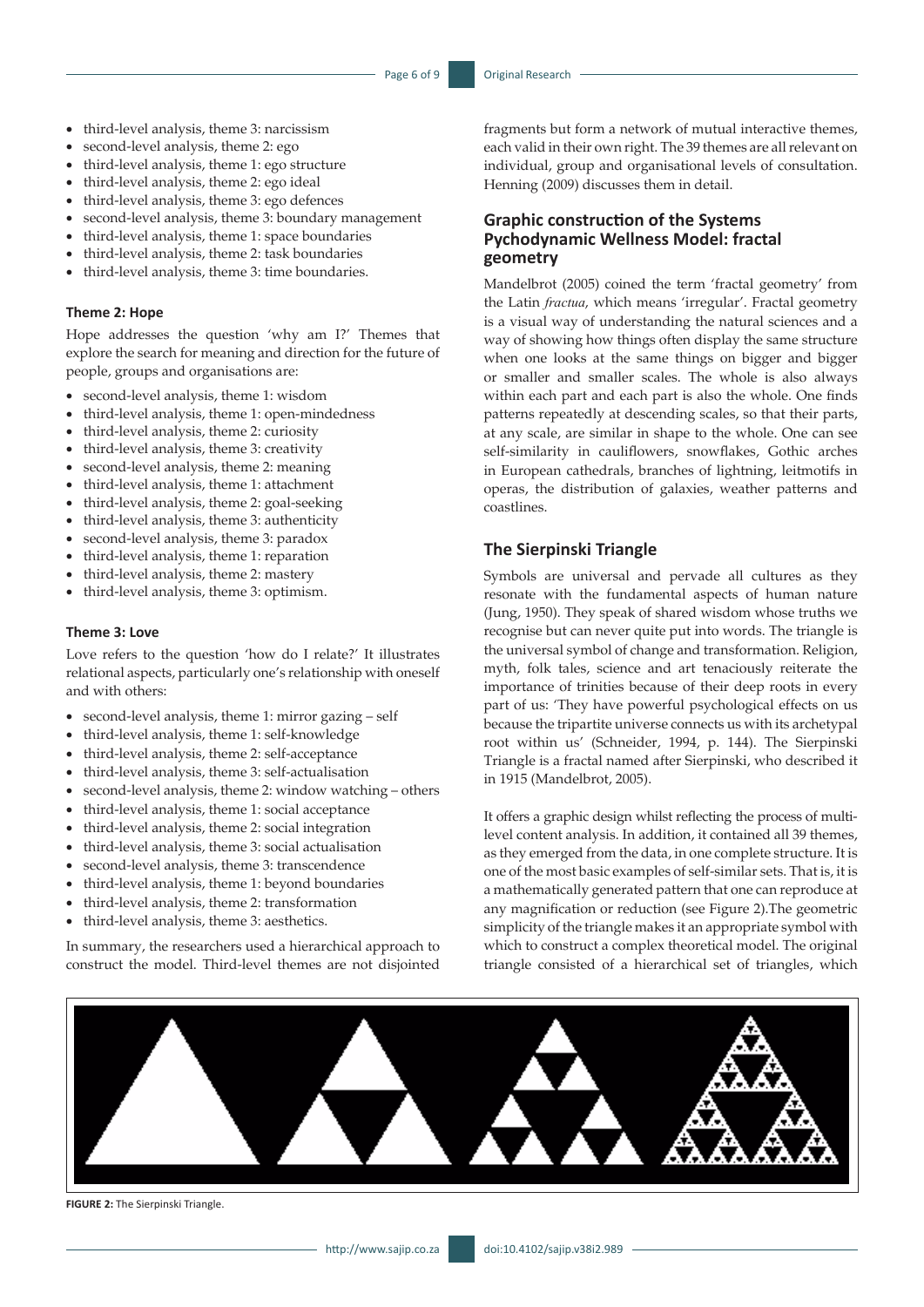- • third-level analysis, theme 3: narcissism
- second-level analysis, theme 2: ego
- third-level analysis, theme 1: ego structure
- third-level analysis, theme 2: ego ideal
- third-level analysis, theme 3: ego defences
- second-level analysis, theme 3: boundary management
- third-level analysis, theme 1: space boundaries
- third-level analysis, theme 2: task boundaries
- third-level analysis, theme 3: time boundaries.

#### **Theme 2: Hope**

Hope addresses the question 'why am I?' Themes that explore the search for meaning and direction for the future of people, groups and organisations are:

- • second-level analysis, theme 1: wisdom
- • third-level analysis, theme 1: open-mindedness
- third-level analysis, theme 2: curiosity
- third-level analysis, theme 3: creativity
- second-level analysis, theme 2: meaning
- third-level analysis, theme 1: attachment
- third-level analysis, theme 2: goal-seeking
- third-level analysis, theme 3: authenticity
- second-level analysis, theme 3: paradox
- third-level analysis, theme 1: reparation
- third-level analysis, theme 2: mastery
- third-level analysis, theme 3: optimism.

#### **Theme 3: Love**

Love refers to the question 'how do I relate?' It illustrates relational aspects, particularly one's relationship with oneself and with others:

- • second-level analysis, theme 1: mirror gazing self
- • third-level analysis, theme 1: self-knowledge
- third-level analysis, theme 2: self-acceptance
- • third-level analysis, theme 3: self-actualisation
- second-level analysis, theme 2: window watching others
- third-level analysis, theme 1: social acceptance
- • third-level analysis, theme 2: social integration
- • third-level analysis, theme 3: social actualisation
- second-level analysis, theme 3: transcendence
- third-level analysis, theme 1: beyond boundaries
- third-level analysis, theme 2: transformation
- • third-level analysis, theme 3: aesthetics.

In summary, the researchers used a hierarchical approach to construct the model. Third-level themes are not disjointed fragments but form a network of mutual interactive themes, each valid in their own right. The 39 themes are all relevant on individual, group and organisational levels of consultation. Henning (2009) discusses them in detail.

# **Graphic construction of the Systems Pychodynamic Wellness Model: fractal geometry**

Mandelbrot (2005) coined the term 'fractal geometry' from the Latin *fractua*, which means 'irregular'. Fractal geometry is a visual way of understanding the natural sciences and a way of showing how things often display the same structure when one looks at the same things on bigger and bigger or smaller and smaller scales. The whole is also always within each part and each part is also the whole. One finds patterns repeatedly at descending scales, so that their parts, at any scale, are similar in shape to the whole. One can see self-similarity in cauliflowers, snowflakes, Gothic arches in European cathedrals, branches of lightning, leitmotifs in operas, the distribution of galaxies, weather patterns and coastlines.

# **The Sierpinski Triangle**

Symbols are universal and pervade all cultures as they resonate with the fundamental aspects of human nature (Jung, 1950). They speak of shared wisdom whose truths we recognise but can never quite put into words. The triangle is the universal symbol of change and transformation. Religion, myth, folk tales, science and art tenaciously reiterate the importance of trinities because of their deep roots in every part of us: 'They have powerful psychological effects on us because the tripartite universe connects us with its archetypal root within us' (Schneider, 1994, p. 144). The Sierpinski Triangle is a fractal named after Sierpinski, who described it in 1915 (Mandelbrot, 2005).

It offers a graphic design whilst reflecting the process of multilevel content analysis. In addition, it contained all 39 themes, as they emerged from the data, in one complete structure. It is one of the most basic examples of self-similar sets. That is, it is a mathematically generated pattern that one can reproduce at any magnification or reduction (see Figure 2).The geometric simplicity of the triangle makes it an appropriate symbol with which to construct a complex theoretical model. The original triangle consisted of a hierarchical set of triangles, which



**FIGURE 2:** The Sierpinski Triangle.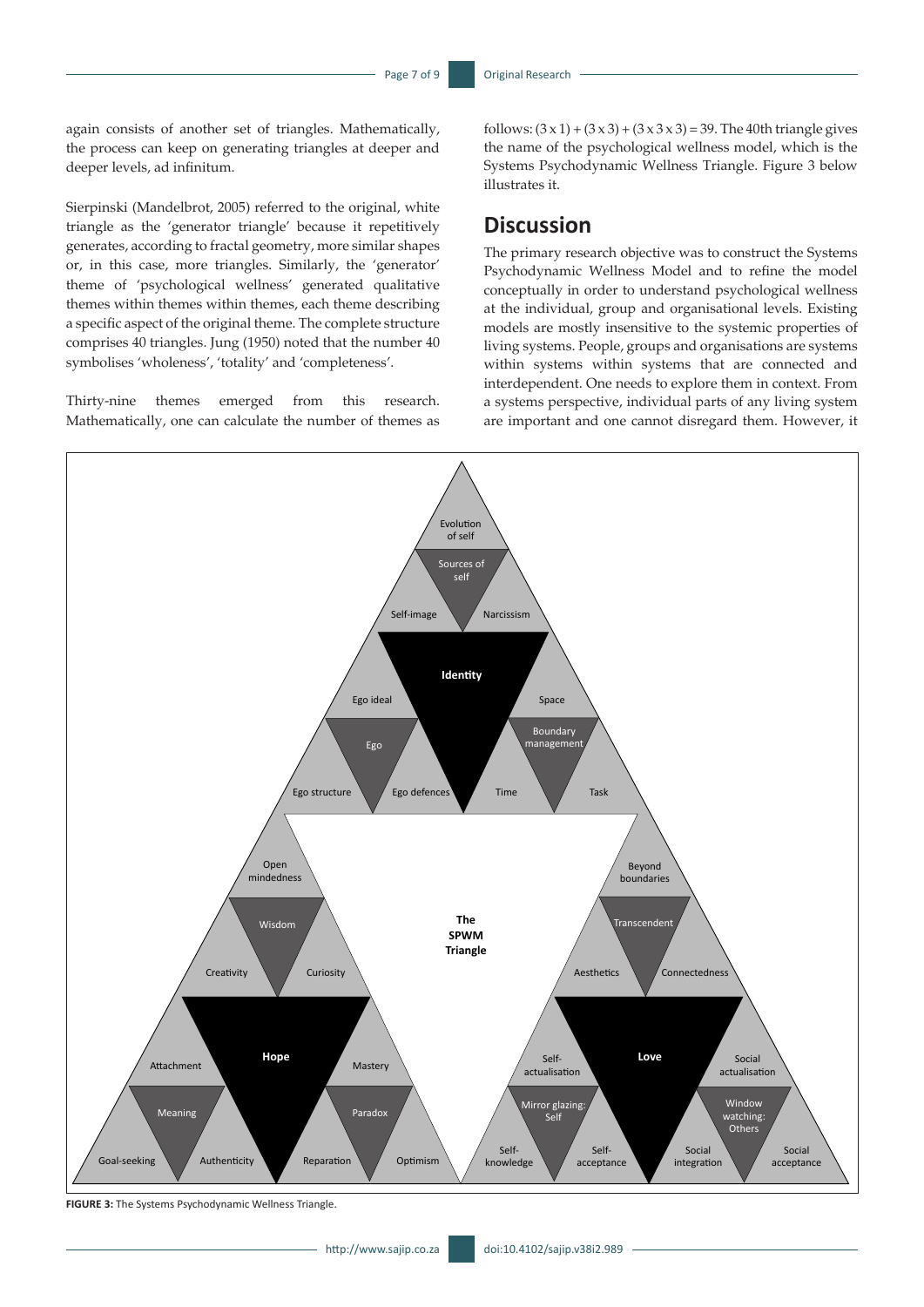again consists of another set of triangles. Mathematically, the process can keep on generating triangles at deeper and deeper levels, ad infinitum.

Sierpinski (Mandelbrot, 2005) referred to the original, white triangle as the 'generator triangle' because it repetitively generates, according to fractal geometry, more similar shapes or, in this case, more triangles. Similarly, the 'generator' theme of 'psychological wellness' generated qualitative themes within themes within themes, each theme describing a specific aspect of the original theme. The complete structure comprises 40 triangles. Jung (1950) noted that the number 40 symbolises 'wholeness', 'totality' and 'completeness'.

Thirty-nine themes emerged from this research. Mathematically, one can calculate the number of themes as follows:  $(3x1) + (3x3) + (3x3x3) = 39$ . The 40th triangle gives the name of the psychological wellness model, which is the Systems Psychodynamic Wellness Triangle. Figure 3 below illustrates it.

# **Discussion**

The primary research objective was to construct the Systems Psychodynamic Wellness Model and to refine the model conceptually in order to understand psychological wellness at the individual, group and organisational levels. Existing models are mostly insensitive to the systemic properties of living systems. People, groups and organisations are systems within systems within systems that are connected and interdependent. One needs to explore them in context. From a systems perspective, individual parts of any living system are important and one cannot disregard them. However, it



**FIGURE 3:** The Systems Psychodynamic Wellness Triangle.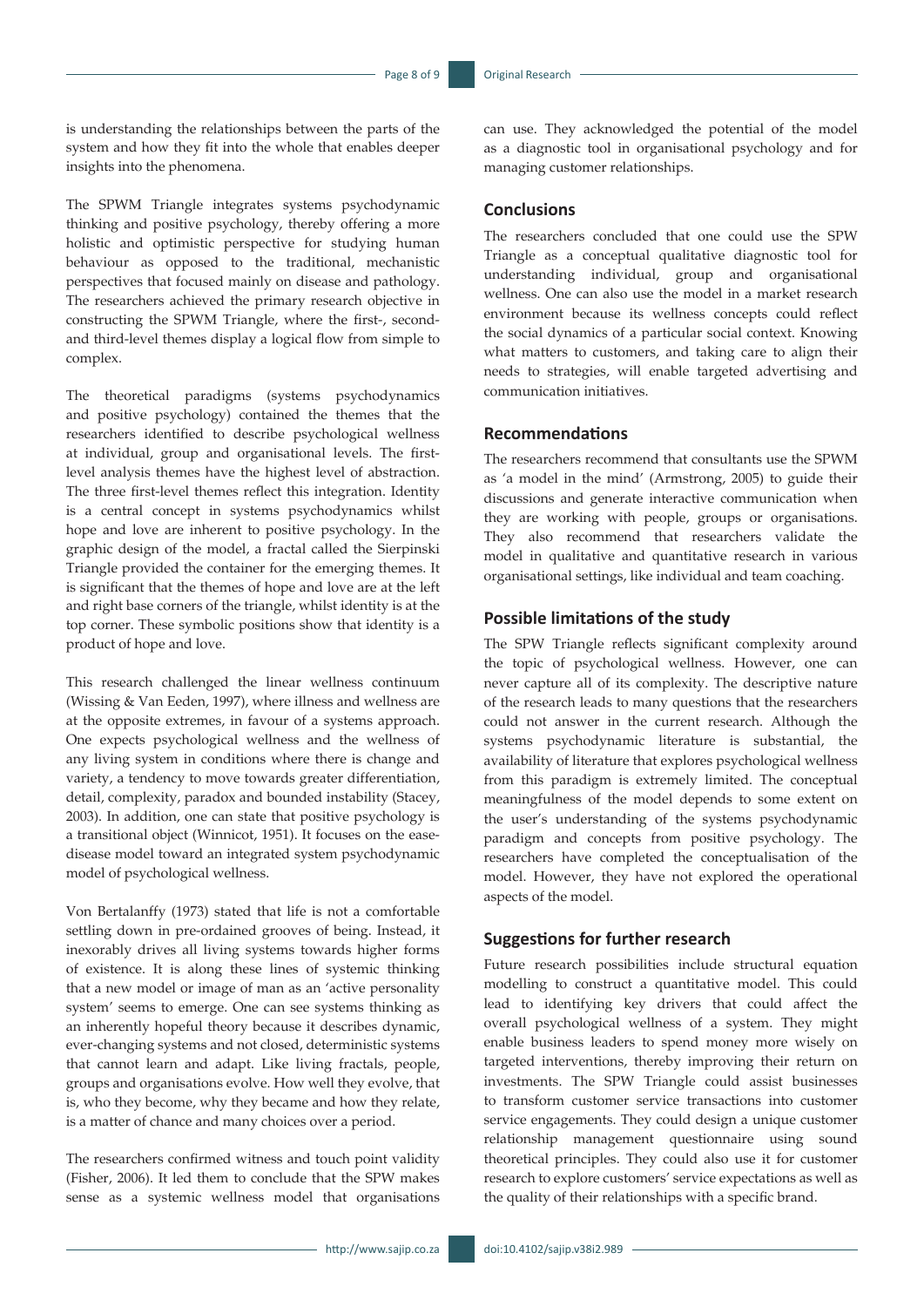is understanding the relationships between the parts of the system and how they fit into the whole that enables deeper insights into the phenomena.

The SPWM Triangle integrates systems psychodynamic thinking and positive psychology, thereby offering a more holistic and optimistic perspective for studying human behaviour as opposed to the traditional, mechanistic perspectives that focused mainly on disease and pathology. The researchers achieved the primary research objective in constructing the SPWM Triangle, where the first-, secondand third-level themes display a logical flow from simple to complex.

The theoretical paradigms (systems psychodynamics and positive psychology) contained the themes that the researchers identified to describe psychological wellness at individual, group and organisational levels. The firstlevel analysis themes have the highest level of abstraction. The three first-level themes reflect this integration. Identity is a central concept in systems psychodynamics whilst hope and love are inherent to positive psychology. In the graphic design of the model, a fractal called the Sierpinski Triangle provided the container for the emerging themes. It is significant that the themes of hope and love are at the left and right base corners of the triangle, whilst identity is at the top corner. These symbolic positions show that identity is a product of hope and love.

This research challenged the linear wellness continuum (Wissing & Van Eeden, 1997), where illness and wellness are at the opposite extremes, in favour of a systems approach. One expects psychological wellness and the wellness of any living system in conditions where there is change and variety, a tendency to move towards greater differentiation, detail, complexity, paradox and bounded instability (Stacey, 2003). In addition, one can state that positive psychology is a transitional object (Winnicot, 1951). It focuses on the easedisease model toward an integrated system psychodynamic model of psychological wellness.

Von Bertalanffy (1973) stated that life is not a comfortable settling down in pre-ordained grooves of being. Instead, it inexorably drives all living systems towards higher forms of existence. It is along these lines of systemic thinking that a new model or image of man as an 'active personality system' seems to emerge. One can see systems thinking as an inherently hopeful theory because it describes dynamic, ever-changing systems and not closed, deterministic systems that cannot learn and adapt. Like living fractals, people, groups and organisations evolve. How well they evolve, that is, who they become, why they became and how they relate, is a matter of chance and many choices over a period.

The researchers confirmed witness and touch point validity (Fisher, 2006). It led them to conclude that the SPW makes sense as a systemic wellness model that organisations can use. They acknowledged the potential of the model as a diagnostic tool in organisational psychology and for managing customer relationships.

# **Conclusions**

The researchers concluded that one could use the SPW Triangle as a conceptual qualitative diagnostic tool for understanding individual, group and organisational wellness. One can also use the model in a market research environment because its wellness concepts could reflect the social dynamics of a particular social context. Knowing what matters to customers, and taking care to align their needs to strategies, will enable targeted advertising and communication initiatives.

# **Recommendations**

The researchers recommend that consultants use the SPWM as 'a model in the mind' (Armstrong, 2005) to guide their discussions and generate interactive communication when they are working with people, groups or organisations. They also recommend that researchers validate the model in qualitative and quantitative research in various organisational settings, like individual and team coaching.

# **Possible limitations of the study**

The SPW Triangle reflects significant complexity around the topic of psychological wellness. However, one can never capture all of its complexity. The descriptive nature of the research leads to many questions that the researchers could not answer in the current research. Although the systems psychodynamic literature is substantial, the availability of literature that explores psychological wellness from this paradigm is extremely limited. The conceptual meaningfulness of the model depends to some extent on the user's understanding of the systems psychodynamic paradigm and concepts from positive psychology. The researchers have completed the conceptualisation of the model. However, they have not explored the operational aspects of the model.

#### **Suggestions for further research**

Future research possibilities include structural equation modelling to construct a quantitative model. This could lead to identifying key drivers that could affect the overall psychological wellness of a system. They might enable business leaders to spend money more wisely on targeted interventions, thereby improving their return on investments. The SPW Triangle could assist businesses to transform customer service transactions into customer service engagements. They could design a unique customer relationship management questionnaire using sound theoretical principles. They could also use it for customer research to explore customers' service expectations as well as the quality of their relationships with a specific brand.